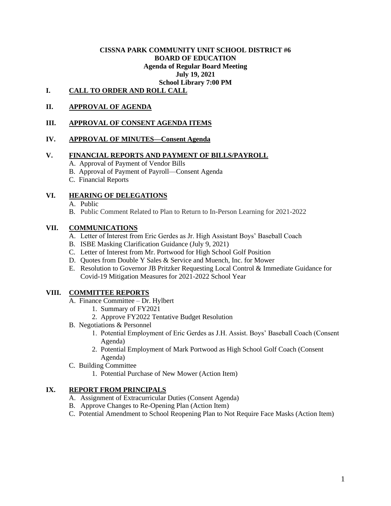#### **CISSNA PARK COMMUNITY UNIT SCHOOL DISTRICT #6 BOARD OF EDUCATION Agenda of Regular Board Meeting July 19, 2021 School Library 7:00 PM**

# **I. CALL TO ORDER AND ROLL CALL**

## **II. APPROVAL OF AGENDA**

### **III. APPROVAL OF CONSENT AGENDA ITEMS**

#### **IV. APPROVAL OF MINUTES—Consent Agenda**

#### **V. FINANCIAL REPORTS AND PAYMENT OF BILLS/PAYROLL**

- A. Approval of Payment of Vendor Bills
- B. Approval of Payment of Payroll—Consent Agenda
- C. Financial Reports

### **VI. HEARING OF DELEGATIONS**

- A. Public
- B. Public Comment Related to Plan to Return to In-Person Learning for 2021-2022

#### **VII. COMMUNICATIONS**

- A. Letter of Interest from Eric Gerdes as Jr. High Assistant Boys' Baseball Coach
- B. ISBE Masking Clarification Guidance (July 9, 2021)
- C. Letter of Interest from Mr. Portwood for High School Golf Position
- D. Quotes from Double Y Sales & Service and Muench, Inc. for Mower
- E. Resolution to Governor JB Pritzker Requesting Local Control & Immediate Guidance for Covid-19 Mitigation Measures for 2021-2022 School Year

#### **VIII. COMMITTEE REPORTS**

- A. Finance Committee Dr. Hylbert
	- 1. Summary of FY2021
	- 2. Approve FY2022 Tentative Budget Resolution
- B. Negotiations & Personnel
	- 1. Potential Employment of Eric Gerdes as J.H. Assist. Boys' Baseball Coach (Consent Agenda)
	- 2. Potential Employment of Mark Portwood as High School Golf Coach (Consent Agenda)
- C. Building Committee
	- 1. Potential Purchase of New Mower (Action Item)

#### **IX. REPORT FROM PRINCIPALS**

- A. Assignment of Extracurricular Duties (Consent Agenda)
- B. Approve Changes to Re-Opening Plan (Action Item)
- C. Potential Amendment to School Reopening Plan to Not Require Face Masks (Action Item)